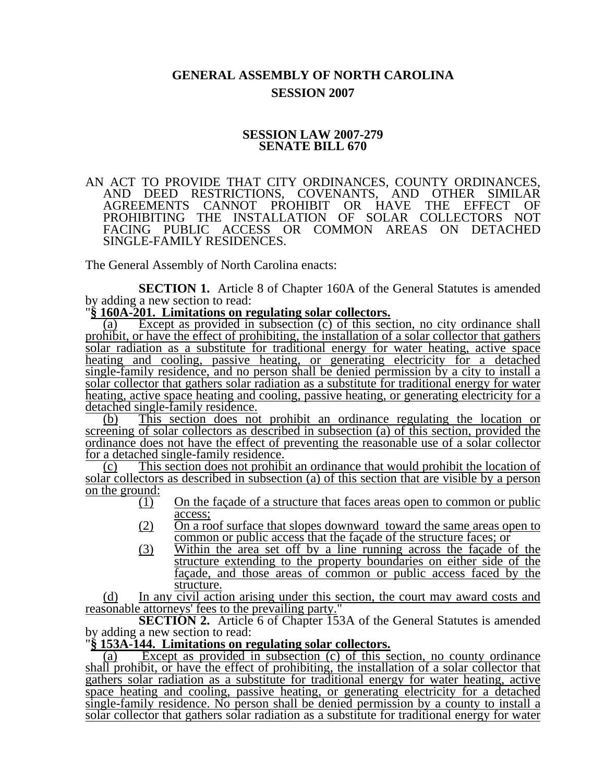## **GENERAL ASSEMBLY OF NORTH CAROLINA SESSION 2007**

### **SESSION LAW 2007-279 SENATE BILL 670**

#### AN ACT TO PROVIDE THAT CITY ORDINANCES, COUNTY ORDINANCES, AND DEED RESTRICTIONS, COVENANTS, AND OTHER SIMILAR COVENANTS, AND OTHER SIMILAR<br>HIBIT OR HAVE THE EFFECT OF AGREEMENTS CANNOT PROHIBIT OR HAVE PROHIBITING THE INSTALLATION OF SOLAR COLLECTORS NOT FACING PUBLIC ACCESS OR COMMON AREAS ON DETACHED SINGLE-FAMILY RESIDENCES.

The General Assembly of North Carolina enacts:

**SECTION 1.** Article 8 of Chapter 160A of the General Statutes is amended by adding a new section to read:

 $§ 160A-201.$  Limitations on regulating solar collectors.

(a) Except as provided in subsection (c) of this section, no city ordinance shall prohibit, or have the effect of prohibiting, the installation of a solar collector that gathers solar radiation as a substitute for traditional energy for water heating, active space heating and cooling, passive heating, or generating electricity for a detached single-family residence, and no person shall be denied permission by a city to install a solar collector that gathers solar radiation as a substitute for traditional energy for water heating, active space heating and cooling, passive heating, or generating electricity for a detached single-family residence.

(b) This section does not prohibit an ordinance regulating the location or screening of solar collectors as described in subsection (a) of this section, provided the ordinance does not have the effect of preventing the reasonable use of a solar collector for a detached single-family residence.

(c) This section does not prohibit an ordinance that would prohibit the location of solar collectors as described in subsection (a) of this section that are visible by a person on the ground:

- $\overline{(1)}$  On the facade of a structure that faces areas open to common or public access;
- (2) On a roof surface that slopes downward toward the same areas open to common or public access that the façade of the structure faces; or
- (3) Within the area set off by a line running across the façade of the structure extending to the property boundaries on either side of the façade, and those areas of common or public access faced by the structure.

(d) In any civil action arising under this section, the court may award costs and reasonable attorneys' fees to the prevailing party."

**SECTION 2.** Article 6 of Chapter 153A of the General Statutes is amended

# by adding a new section to read:<br>"\$153A-144. Limitations on regulating solar collectors.

(a) Except as provided in subsection (c) of this section, no county ordinance shall prohibit, or have the effect of prohibiting, the installation of a solar collector that gathers solar radiation as a substitute for traditional energy for water heating, active space heating and cooling, passive heating, or generating electricity for a detached single-family residence. No person shall be denied permission by a county to install a solar collector that gathers solar radiation as a substitute for traditional energy for water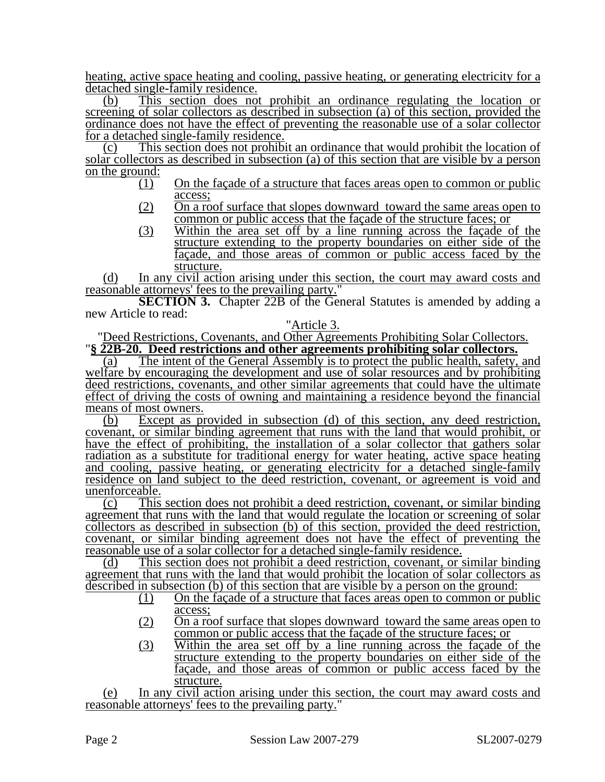heating, active space heating and cooling, passive heating, or generating electricity for a detached single-family residence.

(b) This section does not prohibit an ordinance regulating the location or screening of solar collectors as described in subsection (a) of this section, provided the ordinance does not have the effect of preventing the reasonable use of a solar collector for a detached single-family residence.

(c) This section does not prohibit an ordinance that would prohibit the location of solar collectors as described in subsection (a) of this section that are visible by a person on the ground:

- (1) On the façade of a structure that faces areas open to common or public access;
- $(2)$  On a roof surface that slopes downward toward the same areas open to common or public access that the façade of the structure faces; or
- (3) Within the area set off by a line running across the façade of the structure extending to the property boundaries on either side of the façade, and those areas of common or public access faced by the structure.

(d) In any civil action arising under this section, the court may award costs and reasonable attorneys' fees to the prevailing party."

**SECTION 3.** Chapter 22B of the General Statutes is amended by adding a new Article to read:

"Article 3.<br>"Deed Restrictions, Covenants, and Other Agreements Prohibiting Solar Collectors. "§ 22B-20. Deed restrictions and other agreements prohibiting solar collectors.

(a) The intent of the General Assembly is to protect the public health, safety, and welfare by encouraging the development and use of solar resources and by prohibiting deed restrictions, covenants, and other similar agreements that could have the ultimate effect of driving the costs of owning and maintaining a residence beyond the financial means of most owners.

(b) Except as provided in subsection (d) of this section, any deed restriction, covenant, or similar binding agreement that runs with the land that would prohibit, or have the effect of prohibiting, the installation of a solar collector that gathers solar radiation as a substitute for traditional energy for water heating, active space heating and cooling, passive heating, or generating electricity for a detached single-family residence on land subject to the deed restriction, covenant, or agreement is void and unenforceable.

(c) This section does not prohibit a deed restriction, covenant, or similar binding agreement that runs with the land that would regulate the location or screening of solar collectors as described in subsection (b) of this section, provided the deed restriction, covenant, or similar binding agreement does not have the effect of preventing the reasonable use of a solar collector for a detached single-family residence.

(d) This section does not prohibit a deed restriction, covenant, or similar binding agreement that runs with the land that would prohibit the location of solar collectors as described in subsection (b) of this section that are visible by a person on the ground:

- (1) On the façade of a structure that faces areas open to common or public access;
- (2) On a roof surface that slopes downward toward the same areas open to common or public access that the façade of the structure faces; or
- (3) Within the area set off by a line running across the façade of the structure extending to the property boundaries on either side of the façade, and those areas of common or public access faced by the structure.

(e) In any civil action arising under this section, the court may award costs and reasonable attorneys' fees to the prevailing party."